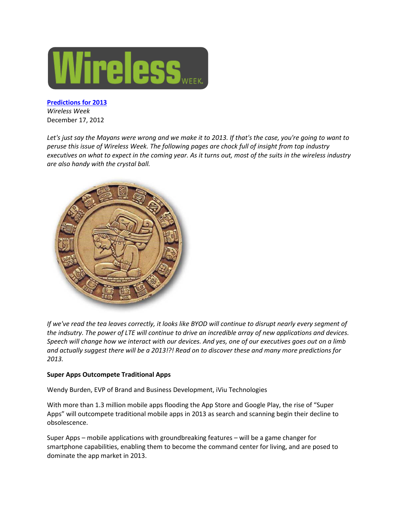

**[Predictions for 2013](http://www.wirelessweek.com/articles/2012/12/predictions-2013)** *Wireless Week* December 17, 2012

*Let's just say the Mayans were wrong and we make it to 2013. If that's the case, you're going to want to peruse this issue of Wireless Week. The following pages are chock full of insight from top industry executives on what to expect in the coming year. As it turns out, most of the suits in the wireless industry are also handy with the crystal ball.*



*If we've read the tea leaves correctly, it looks like BYOD will continue to disrupt nearly every segment of the indsutry. The power of LTE will continue to drive an incredible array of new applications and devices. Speech will change how we interact with our devices. And yes, one of our executives goes out on a limb and actually suggest there will be a 2013!?! Read on to discover these and many more predictions for 2013.*

## **Super Apps Outcompete Traditional Apps**

Wendy Burden, EVP of Brand and Business Development, iViu Technologies

With more than 1.3 million mobile apps flooding the App Store and Google Play, the rise of "Super Apps" will outcompete traditional mobile apps in 2013 as search and scanning begin their decline to obsolescence.

Super Apps – mobile applications with groundbreaking features – will be a game changer for smartphone capabilities, enabling them to become the command center for living, and are posed to dominate the app market in 2013.